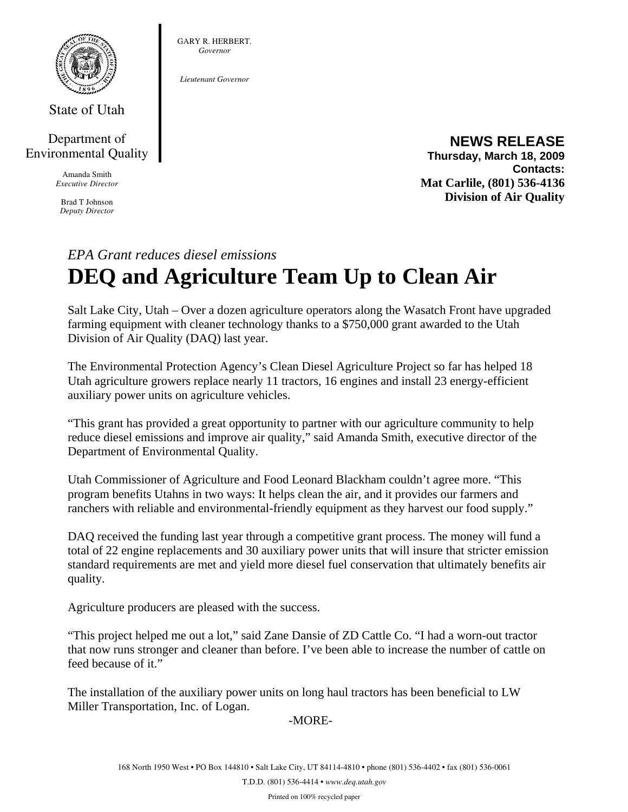

State of Utah

Department of Environmental Quality

> Amanda Smith *Executive Director*

Brad T Johnson *Deputy Director* 

**NEWS RELEASE Thursday, March 18, 2009 Contacts: Mat Carlile, (801) 536-4136 Division of Air Quality** 

## *EPA Grant reduces diesel emissions*  **DEQ and Agriculture Team Up to Clean Air**

GARY R. HERBERT. *Governor* 

*Lieutenant Governor* 

Salt Lake City, Utah – Over a dozen agriculture operators along the Wasatch Front have upgraded farming equipment with cleaner technology thanks to a \$750,000 grant awarded to the Utah Division of Air Quality (DAQ) last year.

The Environmental Protection Agency's Clean Diesel Agriculture Project so far has helped 18 Utah agriculture growers replace nearly 11 tractors, 16 engines and install 23 energy-efficient auxiliary power units on agriculture vehicles.

"This grant has provided a great opportunity to partner with our agriculture community to help reduce diesel emissions and improve air quality," said Amanda Smith, executive director of the Department of Environmental Quality.

Utah Commissioner of Agriculture and Food Leonard Blackham couldn't agree more. "This program benefits Utahns in two ways: It helps clean the air, and it provides our farmers and ranchers with reliable and environmental-friendly equipment as they harvest our food supply."

DAQ received the funding last year through a competitive grant process. The money will fund a total of 22 engine replacements and 30 auxiliary power units that will insure that stricter emission standard requirements are met and yield more diesel fuel conservation that ultimately benefits air quality.

Agriculture producers are pleased with the success.

"This project helped me out a lot," said Zane Dansie of ZD Cattle Co. "I had a worn-out tractor that now runs stronger and cleaner than before. I've been able to increase the number of cattle on feed because of it."

The installation of the auxiliary power units on long haul tractors has been beneficial to LW Miller Transportation, Inc. of Logan.

-MORE-

Printed on 100% recycled paper